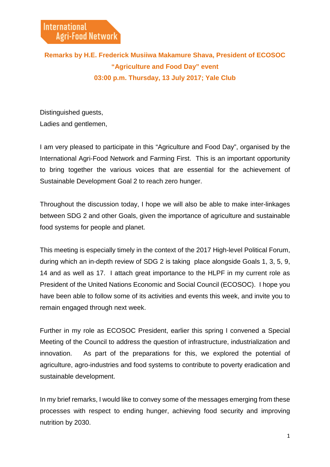## **Remarks by H.E. Frederick Musiiwa Makamure Shava, President of ECOSOC "Agriculture and Food Day" event 03:00 p.m. Thursday, 13 July 2017; Yale Club**

Distinguished guests, Ladies and gentlemen,

I am very pleased to participate in this "Agriculture and Food Day", organised by the International Agri-Food Network and Farming First. This is an important opportunity to bring together the various voices that are essential for the achievement of Sustainable Development Goal 2 to reach zero hunger.

Throughout the discussion today, I hope we will also be able to make inter-linkages between SDG 2 and other Goals, given the importance of agriculture and sustainable food systems for people and planet.

This meeting is especially timely in the context of the 2017 High-level Political Forum, during which an in-depth review of SDG 2 is taking place alongside Goals 1, 3, 5, 9, 14 and as well as 17. I attach great importance to the HLPF in my current role as President of the United Nations Economic and Social Council (ECOSOC). I hope you have been able to follow some of its activities and events this week, and invite you to remain engaged through next week.

Further in my role as ECOSOC President, earlier this spring I convened a Special Meeting of the Council to address the question of infrastructure, industrialization and innovation. As part of the preparations for this, we explored the potential of agriculture, agro-industries and food systems to contribute to poverty eradication and sustainable development.

In my brief remarks, I would like to convey some of the messages emerging from these processes with respect to ending hunger, achieving food security and improving nutrition by 2030.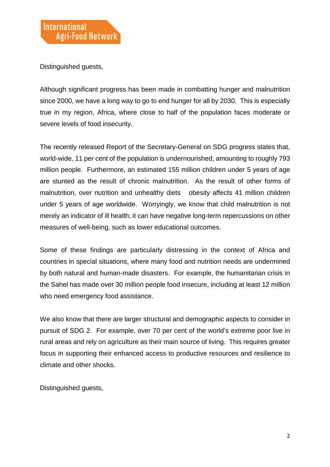Distinguished guests,

Although significant progress has been made in combatting hunger and malnutrition since 2000, we have a long way to go to end hunger for all by 2030. This is especially true in my region, Africa, where close to half of the population faces moderate or severe levels of food insecurity.

The recently released Report of the Secretary-General on SDG progress states that, world-wide, 11 per cent of the population is undernourished, amounting to roughly 793 million people. Furthermore, an estimated 155 million children under 5 years of age are stunted as the result of chronic malnutrition. As the result of other forms of malnutrition, over nutrition and unhealthy diets obesity affects 41 million children under 5 years of age worldwide. Worryingly, we know that child malnutrition is not merely an indicator of ill health; it can have negative long-term repercussions on other measures of well-being, such as lower educational outcomes.

Some of these findings are particularly distressing in the context of Africa and countries in special situations, where many food and nutrition needs are undermined by both natural and human-made disasters. For example, the humanitarian crisis in the Sahel has made over 30 million people food insecure, including at least 12 million who need emergency food assistance.

We also know that there are larger structural and demographic aspects to consider in pursuit of SDG 2. For example, over 70 per cent of the world's extreme poor live in rural areas and rely on agriculture as their main source of living. This requires greater focus in supporting their enhanced access to productive resources and resilience to climate and other shocks.

Distinguished guests,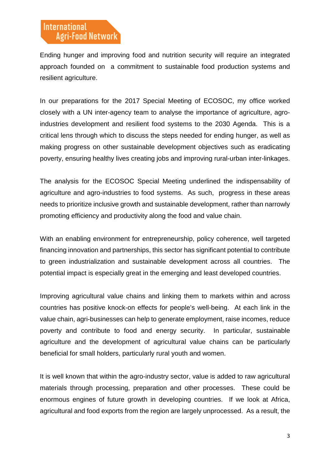Ending hunger and improving food and nutrition security will require an integrated approach founded on a commitment to sustainable food production systems and resilient agriculture.

In our preparations for the 2017 Special Meeting of ECOSOC, my office worked closely with a UN inter-agency team to analyse the importance of agriculture, agroindustries development and resilient food systems to the 2030 Agenda. This is a critical lens through which to discuss the steps needed for ending hunger, as well as making progress on other sustainable development objectives such as eradicating poverty, ensuring healthy lives creating jobs and improving rural-urban inter-linkages.

The analysis for the ECOSOC Special Meeting underlined the indispensability of agriculture and agro-industries to food systems. As such, progress in these areas needs to prioritize inclusive growth and sustainable development, rather than narrowly promoting efficiency and productivity along the food and value chain.

With an enabling environment for entrepreneurship, policy coherence, well targeted financing innovation and partnerships, this sector has significant potential to contribute to green industrialization and sustainable development across all countries. The potential impact is especially great in the emerging and least developed countries.

Improving agricultural value chains and linking them to markets within and across countries has positive knock-on effects for people's well-being. At each link in the value chain, agri-businesses can help to generate employment, raise incomes, reduce poverty and contribute to food and energy security. In particular, sustainable agriculture and the development of agricultural value chains can be particularly beneficial for small holders, particularly rural youth and women.

It is well known that within the agro-industry sector, value is added to raw agricultural materials through processing, preparation and other processes. These could be enormous engines of future growth in developing countries. If we look at Africa, agricultural and food exports from the region are largely unprocessed. As a result, the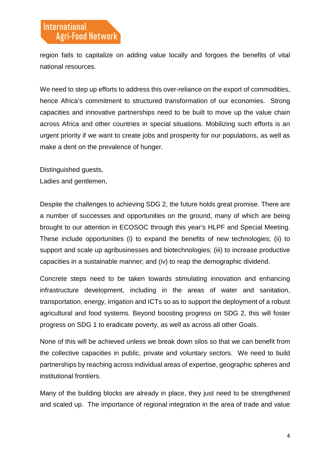region fails to capitalize on adding value locally and forgoes the benefits of vital national resources.

We need to step up efforts to address this over-reliance on the export of commodities, hence Africa's commitment to structured transformation of our economies. Strong capacities and innovative partnerships need to be built to move up the value chain across Africa and other countries in special situations. Mobilizing such efforts is an urgent priority if we want to create jobs and prosperity for our populations, as well as make a dent on the prevalence of hunger.

Distinguished guests,

Ladies and gentlemen,

Despite the challenges to achieving SDG 2, the future holds great promise. There are a number of successes and opportunities on the ground, many of which are being brought to our attention in ECOSOC through this year's HLPF and Special Meeting. These include opportunities (i) to expand the benefits of new technologies; (ii) to support and scale up agribusinesses and biotechnologies; (iii) to increase productive capacities in a sustainable manner; and (iv) to reap the demographic dividend.

Concrete steps need to be taken towards stimulating innovation and enhancing infrastructure development, including in the areas of water and sanitation, transportation, energy, irrigation and ICTs so as to support the deployment of a robust agricultural and food systems. Beyond boosting progress on SDG 2, this will foster progress on SDG 1 to eradicate poverty, as well as across all other Goals.

None of this will be achieved unless we break down silos so that we can benefit from the collective capacities in public, private and voluntary sectors. We need to build partnerships by reaching across individual areas of expertise, geographic spheres and institutional frontiers.

Many of the building blocks are already in place, they just need to be strengthened and scaled up. The importance of regional integration in the area of trade and value